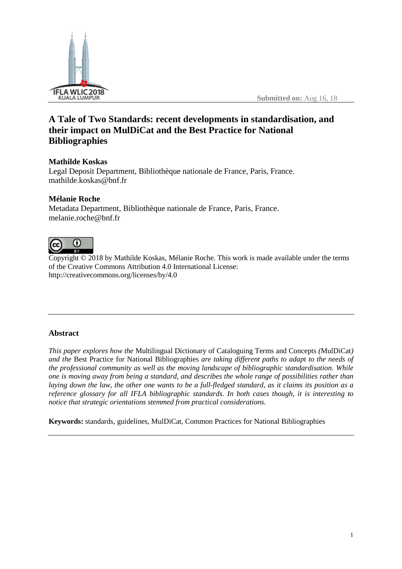

# **A Tale of Two Standards: recent developments in standardisation, and their impact on MulDiCat and the Best Practice for National Bibliographies**

# **Mathilde Koskas**

Legal Deposit Department, Bibliothèque nationale de France, Paris, France. mathilde.koskas@bnf.fr

# **Mélanie Roche**

Metadata Department, Bibliothèque nationale de France, Paris, France. melanie.roche@bnf.fr



Copyright © 2018 by Mathilde Koskas, Mélanie Roche. This work is made available under the terms of the Creative Commons Attribution 4.0 International License: <http://creativecommons.org/licenses/by/4.0>

# **Abstract**

*This paper explores how the* Multilingual Dictionary of Cataloguing Terms and Concepts *(*MulDiCat*) and the* Best Practice for National Bibliographies *are taking different paths to adapt to the needs of the professional community as well as the moving landscape of bibliographic standardisation. While one is moving away from being a standard, and describes the whole range of possibilities rather than* laying down the law, the other one wants to be a full-fledged standard, as it claims its position as a *reference glossary for all IFLA bibliographic standards. In both cases though, it is interesting to notice that strategic orientations stemmed from practical considerations.*

**Keywords:** standards, guidelines, MulDiCat, Common Practices for National Bibliographies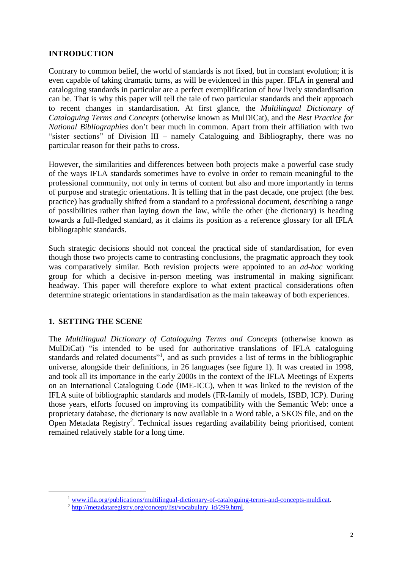# **INTRODUCTION**

Contrary to common belief, the world of standards is not fixed, but in constant evolution; it is even capable of taking dramatic turns, as will be evidenced in this paper. IFLA in general and cataloguing standards in particular are a perfect exemplification of how lively standardisation can be. That is why this paper will tell the tale of two particular standards and their approach to recent changes in standardisation. At first glance, the *Multilingual Dictionary of Cataloguing Terms and Concepts* (otherwise known as MulDiCat), and the *Best Practice for National Bibliographies* don't bear much in common. Apart from their affiliation with two "sister sections" of Division III – namely Cataloguing and Bibliography, there was no particular reason for their paths to cross.

However, the similarities and differences between both projects make a powerful case study of the ways IFLA standards sometimes have to evolve in order to remain meaningful to the professional community, not only in terms of content but also and more importantly in terms of purpose and strategic orientations. It is telling that in the past decade, one project (the best practice) has gradually shifted from a standard to a professional document, describing a range of possibilities rather than laying down the law, while the other (the dictionary) is heading towards a full-fledged standard, as it claims its position as a reference glossary for all IFLA bibliographic standards.

Such strategic decisions should not conceal the practical side of standardisation, for even though those two projects came to contrasting conclusions, the pragmatic approach they took was comparatively similar. Both revision projects were appointed to an *ad-hoc* working group for which a decisive in-person meeting was instrumental in making significant headway. This paper will therefore explore to what extent practical considerations often determine strategic orientations in standardisation as the main takeaway of both experiences.

## **1. SETTING THE SCENE**

 $\overline{a}$ 

The *Multilingual Dictionary of Cataloguing Terms and Concepts* (otherwise known as MulDiCat) "is intended to be used for authoritative translations of IFLA cataloguing standards and related documents"<sup>1</sup>, and as such provides a list of terms in the bibliographic universe, alongside their definitions, in 26 languages (see figure 1). It was created in 1998, and took all its importance in the early 2000s in the context of the IFLA Meetings of Experts on an International Cataloguing Code (IME-ICC), when it was linked to the revision of the IFLA suite of bibliographic standards and models (FR-family of models, ISBD, ICP). During those years, efforts focused on improving its compatibility with the Semantic Web: once a proprietary database, the dictionary is now available in a Word table, a SKOS file, and on the Open Metadata Registry<sup>2</sup>. Technical issues regarding availability being prioritised, content remained relatively stable for a long time.

<sup>1</sup> [www.ifla.org/publications/multilingual-dictionary-of-cataloguing-terms-and-concepts-muldicat.](https://www.ifla.org/publications/multilingual-dictionary-of-cataloguing-terms-and-concepts-muldicat)

<sup>&</sup>lt;sup>2</sup> http://metadataregistry.org/concept/list/vocabulary id/299.html.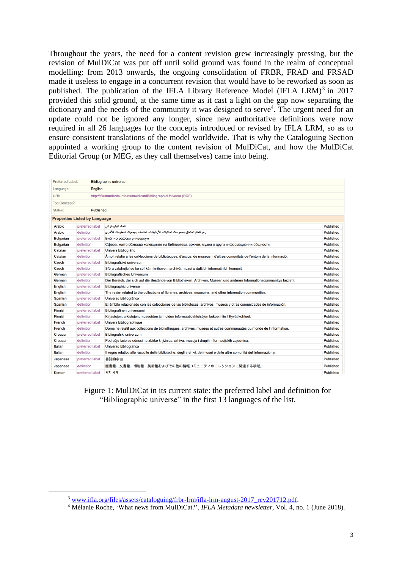Throughout the years, the need for a content revision grew increasingly pressing, but the revision of MulDiCat was put off until solid ground was found in the realm of conceptual modelling: from 2013 onwards, the ongoing consolidation of FRBR, FRAD and FRSAD made it useless to engage in a concurrent revision that would have to be reworked as soon as published. The publication of the IFLA Library Reference Model (IFLA LRM)<sup>3</sup> in 2017 provided this solid ground, at the same time as it cast a light on the gap now separating the dictionary and the needs of the community it was designed to serve<sup>4</sup>. The urgent need for an update could not be ignored any longer, since new authoritative definitions were now required in all 26 languages for the concepts introduced or revised by IFLA LRM, so as to ensure consistent translations of the model worldwide. That is why the Cataloguing Section appointed a working group to the content revision of MulDiCat, and how the MulDiCat Editorial Group (or MEG, as they call themselves) came into being.

| Preferred Label:                                                          |                 | <b>Bibliographic universe</b>                                                                                              |           |
|---------------------------------------------------------------------------|-----------------|----------------------------------------------------------------------------------------------------------------------------|-----------|
| English<br>Language:                                                      |                 |                                                                                                                            |           |
| URI:<br>http://iflastandards.info/ns/muldicat#BibliographicUniverse (RDF) |                 |                                                                                                                            |           |
| Top Concept?:                                                             |                 |                                                                                                                            |           |
| <b>Published</b><br>Status:                                               |                 |                                                                                                                            |           |
| <b>Properties Listed by Language</b>                                      |                 |                                                                                                                            |           |
| Arabic                                                                    | preferred label | العالم الببليو غرافى                                                                                                       | Published |
| Arabic                                                                    | definition      | إهو العالم المتعلق بمجموعات المكتبات، الأر شيفات، المتاحف وجمعيات المعلومات الأخراي                                        | Published |
| <b>Bulgarian</b>                                                          | preferred label | Библиографски универсум                                                                                                    | Published |
| <b>Bulgarian</b>                                                          | definition      | Сфера, която обхваща колекциите на библиотеки, архиви, музеи и други информационни общности.                               | Published |
| Catalan                                                                   | preferred label | Univers bibliogràfic                                                                                                       | Published |
| Catalan                                                                   | definition      | Àmbit relatiu a les col·leccions de biblioteques, d'arxius, de museus, i d'altres comunitats de l'entorn de la informació. | Published |
| Czech                                                                     | preferred label | Bibliografické univerzum                                                                                                   | Published |
| Czech                                                                     | definition      | Sféra vztahující se ke sbírkám knihoven, archivů, muzeí a dalších informačních komunit.                                    | Published |
| German                                                                    | preferred label | <b>Bibliografisches Universum</b>                                                                                          | Published |
| German                                                                    | definition      | Der Bereich, der sich auf die Bestände von Bibliotheken, Archiven, Museen und anderen Informationscommunitys bezieht.      | Published |
| English                                                                   | preferred label | <b>Bibliographic universe</b>                                                                                              | Published |
| English                                                                   | definition      | The realm related to the collections of libraries, archives, museums, and other information communities.                   | Published |
| Spanish                                                                   | preferred label | Universo bibliográfico                                                                                                     | Published |
| Spanish                                                                   | definition      | El ámbito relacionado con las colecciones de las bibliotecas, archivos, museos y otras comunidades de información.         | Published |
| Finnish                                                                   | preferred label | Bibliografinen universumi                                                                                                  | Published |
| Finnish                                                                   | definition      | Kirjastojen, arkistojen, museoiden ja muiden informaatioyhteisöjen kokoelmiin liittyvät kohteet.                           | Published |
| French                                                                    | preferred label | Univers bibliographique                                                                                                    | Published |
| French                                                                    | definition      | Domaine relatif aux collections de bibliothèques, archives, musées et autres communautés du monde de l'information.        | Published |
| Croatian                                                                  | preferred label | Bibliografski univerzum                                                                                                    | Published |
| Croatian                                                                  | definition      | Područje koje se odnosi na zbirke knjižnica, arhiva, muzeja i drugih informacijskih zajednica.                             | Published |
| Italian                                                                   | preferred label | Universo bibliografico                                                                                                     | Published |
| Italian                                                                   | definition      | Il regno relativo alle raccolte delle biblioteche, degli archivi, dei musei e delle altre comunità dell'informazione.      | Published |
| Japanese                                                                  | preferred label | 書誌的宇宙                                                                                                                      | Published |
| Japanese                                                                  | definition      | 図書館、文書館、博物館・美術館およびその他の情報コミュニティのコレクションに関連する領域。                                                                              | Published |
| Korean                                                                    | preferred label | 서지 세계                                                                                                                      | Published |

Figure 1: MulDiCat in its current state: the preferred label and definition for "Bibliographic universe" in the first 13 languages of the list.

<sup>&</sup>lt;sup>3</sup> [www.ifla.org/files/assets/cataloguing/frbr-lrm/ifla-lrm-august-2017\\_rev201712.pdf.](https://www.ifla.org/files/assets/cataloguing/frbr-lrm/ifla-lrm-august-2017_rev201712.pdf)

<sup>4</sup> Mélanie Roche, 'What news from MulDiCat?', *IFLA Metadata newsletter*, Vol. 4, no. 1 (June 2018).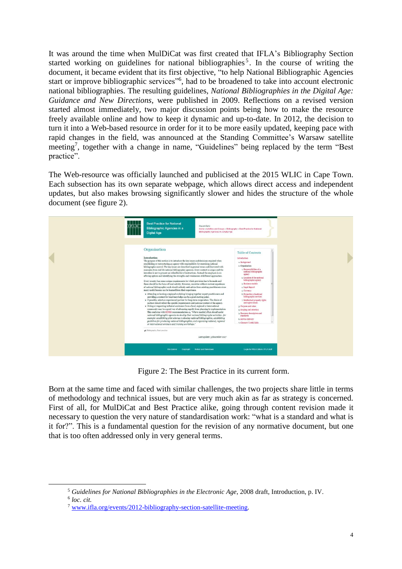It was around the time when MulDiCat was first created that IFLA's Bibliography Section started working on guidelines for national bibliographies<sup>5</sup>. In the course of writing the document, it became evident that its first objective, "to help National Bibliographic Agencies start or improve bibliographic services"<sup>6</sup>, had to be broadened to take into account electronic national bibliographies. The resulting guidelines, *National Bibliographies in the Digital Age: Guidance and New Directions*, were published in 2009. Reflections on a revised version started almost immediately, two major discussion points being how to make the resource freely available online and how to keep it dynamic and up-to-date. In 2012, the decision to turn it into a Web-based resource in order for it to be more easily updated, keeping pace with rapid changes in the field, was announced at the Standing Committee's Warsaw satellite meeting<sup>7</sup>, together with a change in name, "Guidelines" being replaced by the term "Best practice".

The Web-resource was officially launched and publicised at the 2015 WLIC in Cape Town. Each subsection has its own separate webpage, which allows direct access and independent updates, but also makes browsing significantly slower and hides the structure of the whole document (see figure 2).



Figure 2: The Best Practice in its current form.

Born at the same time and faced with similar challenges, the two projects share little in terms of methodology and technical issues, but are very much akin as far as strategy is concerned. First of all, for MulDiCat and Best Practice alike, going through content revision made it necessary to question the very nature of standardisation work: "what is a standard and what is it for?". This is a fundamental question for the revision of any normative document, but one that is too often addressed only in very general terms.

<sup>5</sup> *Guidelines for National Bibliographies in the Electronic Age*, 2008 draft, Introduction, p. IV. 6 *loc. cit.*

<sup>7</sup> [www.ifla.org/events/2012-bibliography-section-satellite-meeting.](https://www.ifla.org/events/2012-bibliography-section-satellite-meeting)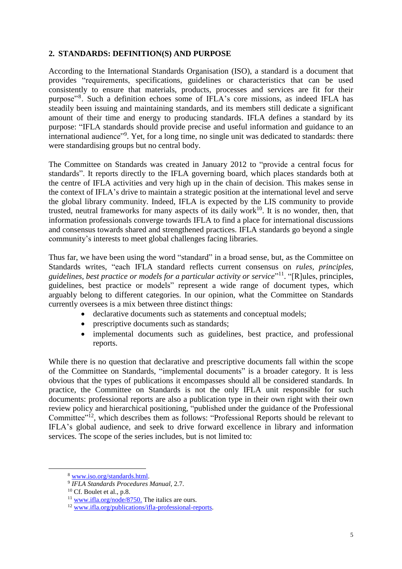## **2. STANDARDS: DEFINITION(S) AND PURPOSE**

According to the International Standards Organisation (ISO), a standard is a document that provides "requirements, specifications, guidelines or characteristics that can be used consistently to ensure that materials, products, processes and services are fit for their purpose"<sup>8</sup>. Such a definition echoes some of IFLA's core missions, as indeed IFLA has steadily been issuing and maintaining standards, and its members still dedicate a significant amount of their time and energy to producing standards. IFLA defines a standard by its purpose: "IFLA standards should provide precise and useful information and guidance to an international audience"<sup>9</sup>. Yet, for a long time, no single unit was dedicated to standards: there were standardising groups but no central body.

The Committee on Standards was created in January 2012 to "provide a central focus for standards". It reports directly to the IFLA governing board, which places standards both at the centre of IFLA activities and very high up in the chain of decision. This makes sense in the context of IFLA's drive to maintain a strategic position at the international level and serve the global library community. Indeed, IFLA is expected by the LIS community to provide trusted, neutral frameworks for many aspects of its daily work<sup>10</sup>. It is no wonder, then, that information professionals converge towards IFLA to find a place for international discussions and consensus towards shared and strengthened practices. IFLA standards go beyond a single community's interests to meet global challenges facing libraries.

Thus far, we have been using the word "standard" in a broad sense, but, as the Committee on Standards writes, "each IFLA standard reflects current consensus on *rules, principles, guidelines, best practice or models for a particular activity or service*" 11 . "[R]ules, principles, guidelines, best practice or models" represent a wide range of document types, which arguably belong to different categories. In our opinion, what the Committee on Standards currently oversees is a mix between three distinct things:

- declarative documents such as statements and conceptual models;
- prescriptive documents such as standards;
- implemental documents such as guidelines, best practice, and professional reports.

While there is no question that declarative and prescriptive documents fall within the scope of the Committee on Standards, "implemental documents" is a broader category. It is less obvious that the types of publications it encompasses should all be considered standards. In practice, the Committee on Standards is not the only IFLA unit responsible for such documents: professional reports are also a publication type in their own right with their own review policy and hierarchical positioning, "published under the guidance of the Professional Committee"<sup>12</sup>, which describes them as follows: "Professional Reports should be relevant to IFLA's global audience, and seek to drive forward excellence in library and information services. The scope of the series includes, but is not limited to:

<sup>8</sup> [www.iso.org/standards.html.](https://www.iso.org/standards.html)

<sup>9</sup> *IFLA Standards Procedures Manual*, 2.7.

 $10$  Cf. Boulet et al., p.8.

<sup>&</sup>lt;sup>11</sup> [www.ifla.org/node/8750.](http://www.ifla.org/node/8750) The italics are ours.

<sup>&</sup>lt;sup>12</sup> [www.ifla.org/publications/ifla-professional-reports.](https://www.ifla.org/publications/ifla-professional-reports)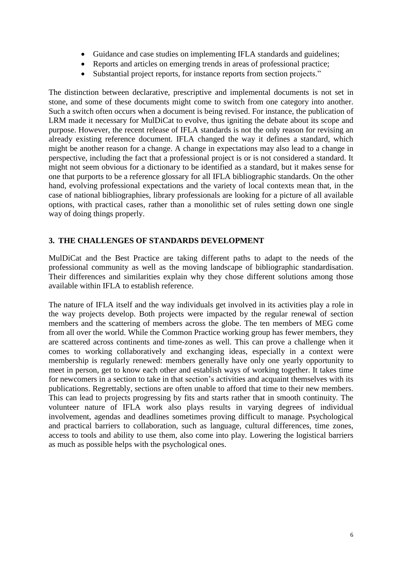- Guidance and case studies on implementing IFLA standards and guidelines;
- Reports and articles on emerging trends in areas of professional practice;
- Substantial project reports, for instance reports from section projects."

The distinction between declarative, prescriptive and implemental documents is not set in stone, and some of these documents might come to switch from one category into another. Such a switch often occurs when a document is being revised. For instance, the publication of LRM made it necessary for MulDiCat to evolve, thus igniting the debate about its scope and purpose. However, the recent release of IFLA standards is not the only reason for revising an already existing reference document. IFLA changed the way it defines a standard, which might be another reason for a change. A change in expectations may also lead to a change in perspective, including the fact that a professional project is or is not considered a standard. It might not seem obvious for a dictionary to be identified as a standard, but it makes sense for one that purports to be a reference glossary for all IFLA bibliographic standards. On the other hand, evolving professional expectations and the variety of local contexts mean that, in the case of national bibliographies, library professionals are looking for a picture of all available options, with practical cases, rather than a monolithic set of rules setting down one single way of doing things properly.

#### **3. THE CHALLENGES OF STANDARDS DEVELOPMENT**

MulDiCat and the Best Practice are taking different paths to adapt to the needs of the professional community as well as the moving landscape of bibliographic standardisation. Their differences and similarities explain why they chose different solutions among those available within IFLA to establish reference.

The nature of IFLA itself and the way individuals get involved in its activities play a role in the way projects develop. Both projects were impacted by the regular renewal of section members and the scattering of members across the globe. The ten members of MEG come from all over the world. While the Common Practice working group has fewer members, they are scattered across continents and time-zones as well. This can prove a challenge when it comes to working collaboratively and exchanging ideas, especially in a context were membership is regularly renewed: members generally have only one yearly opportunity to meet in person, get to know each other and establish ways of working together. It takes time for newcomers in a section to take in that section's activities and acquaint themselves with its publications. Regrettably, sections are often unable to afford that time to their new members. This can lead to projects progressing by fits and starts rather that in smooth continuity. The volunteer nature of IFLA work also plays results in varying degrees of individual involvement, agendas and deadlines sometimes proving difficult to manage. Psychological and practical barriers to collaboration, such as language, cultural differences, time zones, access to tools and ability to use them, also come into play. Lowering the logistical barriers as much as possible helps with the psychological ones.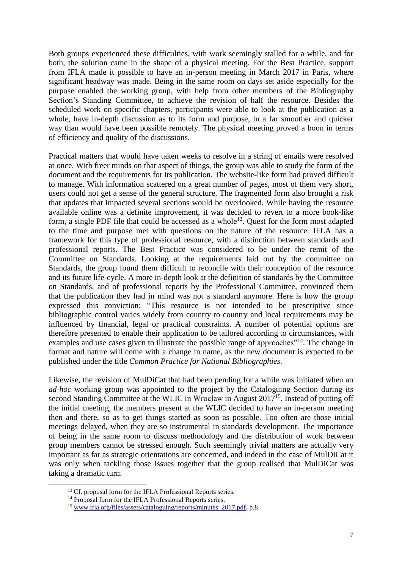Both groups experienced these difficulties, with work seemingly stalled for a while, and for both, the solution came in the shape of a physical meeting. For the Best Practice, support from IFLA made it possible to have an in-person meeting in March 2017 in Paris, where significant headway was made. Being in the same room on days set aside especially for the purpose enabled the working group, with help from other members of the Bibliography Section's Standing Committee, to achieve the revision of half the resource. Besides the scheduled work on specific chapters, participants were able to look at the publication as a whole, have in-depth discussion as to its form and purpose, in a far smoother and quicker way than would have been possible remotely. The physical meeting proved a boon in terms of efficiency and quality of the discussions.

Practical matters that would have taken weeks to resolve in a string of emails were resolved at once. With freer minds on that aspect of things, the group was able to study the form of the document and the requirements for its publication. The website-like form had proved difficult to manage. With information scattered on a great number of pages, most of them very short, users could not get a sense of the general structure. The fragmented form also brought a risk that updates that impacted several sections would be overlooked. While having the resource available online was a definite improvement, it was decided to revert to a more book-like form, a single PDF file that could be accessed as a whole<sup>13</sup>. Quest for the form most adapted to the time and purpose met with questions on the nature of the resource. IFLA has a framework for this type of professional resource, with a distinction between standards and professional reports. The Best Practice was considered to be under the remit of the Committee on Standards. Looking at the requirements laid out by the committee on Standards, the group found them difficult to reconcile with their conception of the resource and its future life-cycle. A more in-depth look at the definition of standards by the Committee on Standards, and of professional reports by the Professional Committee, convinced them that the publication they had in mind was not a standard anymore. Here is how the group expressed this conviction: "This resource is not intended to be prescriptive since bibliographic control varies widely from country to country and local requirements may be influenced by financial, legal or practical constraints. A number of potential options are therefore presented to enable their application to be tailored according to circumstances, with examples and use cases given to illustrate the possible range of approaches"<sup>14</sup>. The change in format and nature will come with a change in name, as the new document is expected to be published under the title *Common Practice for National Bibliographies*.

Likewise, the revision of MulDiCat that had been pending for a while was initiated when an *ad-hoc* working group was appointed to the project by the Cataloguing Section during its second Standing Committee at the WLIC in Wrocław in August 2017<sup>15</sup>. Instead of putting off the initial meeting, the members present at the WLIC decided to have an in-person meeting then and there, so as to get things started as soon as possible. Too often are those initial meetings delayed, when they are so instrumental in standards development. The importance of being in the same room to discuss methodology and the distribution of work between group members cannot be stressed enough. Such seemingly trivial matters are actually very important as far as strategic orientations are concerned, and indeed in the case of MulDiCat it was only when tackling those issues together that the group realised that MulDiCat was taking a dramatic turn.

<sup>&</sup>lt;sup>13</sup> Cf. proposal form for the IFLA Professional Reports series.

<sup>&</sup>lt;sup>14</sup> Proposal form for the IFLA Professional Reports series.

<sup>&</sup>lt;sup>15</sup> www.ifla.org/files/assets/cataloguing/reports/minutes 2017.pdf, p.8.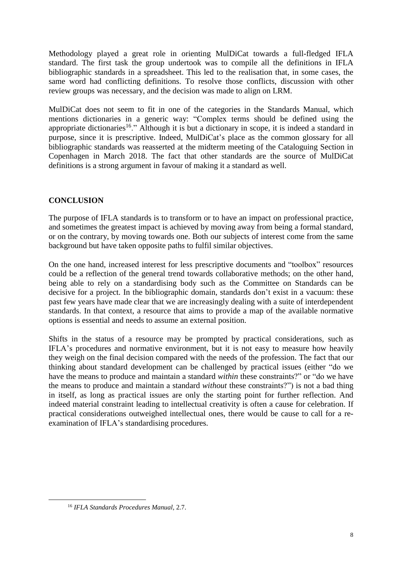Methodology played a great role in orienting MulDiCat towards a full-fledged IFLA standard. The first task the group undertook was to compile all the definitions in IFLA bibliographic standards in a spreadsheet. This led to the realisation that, in some cases, the same word had conflicting definitions. To resolve those conflicts, discussion with other review groups was necessary, and the decision was made to align on LRM.

MulDiCat does not seem to fit in one of the categories in the Standards Manual, which mentions dictionaries in a generic way: "Complex terms should be defined using the appropriate dictionaries<sup>16</sup>." Although it is but a dictionary in scope, it is indeed a standard in purpose, since it is prescriptive. Indeed, MulDiCat's place as the common glossary for all bibliographic standards was reasserted at the midterm meeting of the Cataloguing Section in Copenhagen in March 2018. The fact that other standards are the source of MulDiCat definitions is a strong argument in favour of making it a standard as well.

## **CONCLUSION**

The purpose of IFLA standards is to transform or to have an impact on professional practice, and sometimes the greatest impact is achieved by moving away from being a formal standard, or on the contrary, by moving towards one. Both our subjects of interest come from the same background but have taken opposite paths to fulfil similar objectives.

On the one hand, increased interest for less prescriptive documents and "toolbox" resources could be a reflection of the general trend towards collaborative methods; on the other hand, being able to rely on a standardising body such as the Committee on Standards can be decisive for a project. In the bibliographic domain, standards don't exist in a vacuum: these past few years have made clear that we are increasingly dealing with a suite of interdependent standards. In that context, a resource that aims to provide a map of the available normative options is essential and needs to assume an external position.

Shifts in the status of a resource may be prompted by practical considerations, such as IFLA's procedures and normative environment, but it is not easy to measure how heavily they weigh on the final decision compared with the needs of the profession. The fact that our thinking about standard development can be challenged by practical issues (either "do we have the means to produce and maintain a standard *within* these constraints?" or "do we have the means to produce and maintain a standard *without* these constraints?") is not a bad thing in itself, as long as practical issues are only the starting point for further reflection. And indeed material constraint leading to intellectual creativity is often a cause for celebration. If practical considerations outweighed intellectual ones, there would be cause to call for a reexamination of IFLA's standardising procedures.

<sup>16</sup> *IFLA Standards Procedures Manual*, 2.7.